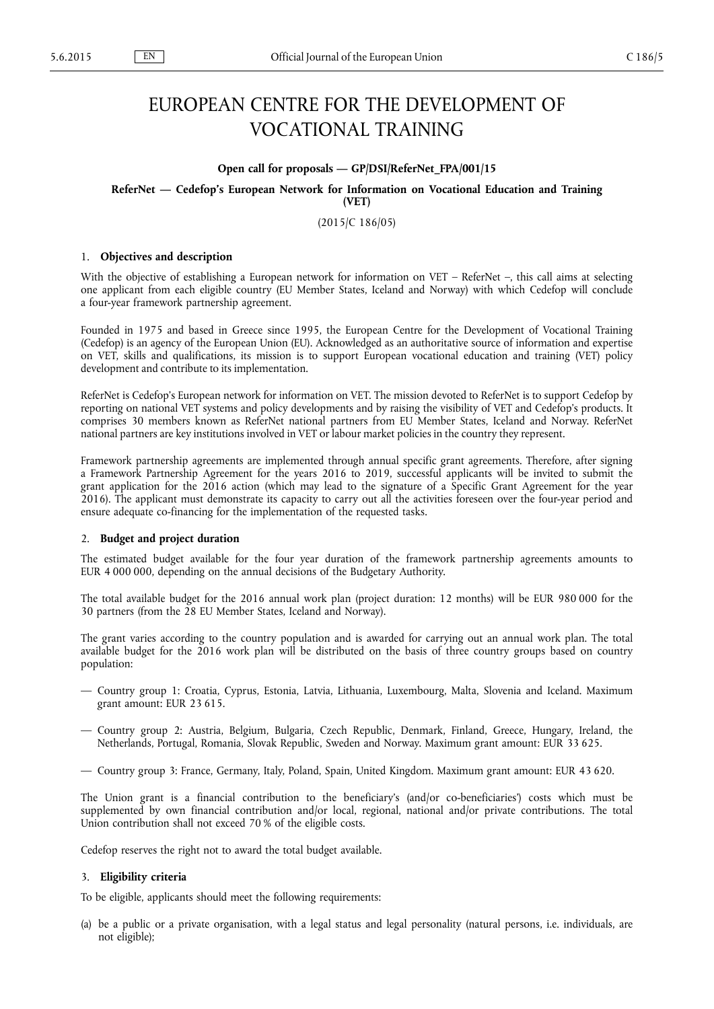# EUROPEAN CENTRE FOR THE DEVELOPMENT OF VOCATIONAL TRAINING

#### **Open call for proposals — GP/DSI/ReferNet\_FPA/001/15**

**ReferNet — Cedefop's European Network for Information on Vocational Education and Training (VET)**

(2015/C 186/05)

## 1. **Objectives and description**

With the objective of establishing a European network for information on VET – ReferNet –, this call aims at selecting one applicant from each eligible country (EU Member States, Iceland and Norway) with which Cedefop will conclude a four-year framework partnership agreement.

Founded in 1975 and based in Greece since 1995, the European Centre for the Development of Vocational Training (Cedefop) is an agency of the European Union (EU). Acknowledged as an authoritative source of information and expertise on VET, skills and qualifications, its mission is to support European vocational education and training (VET) policy development and contribute to its implementation.

ReferNet is Cedefop's European network for information on VET. The mission devoted to ReferNet is to support Cedefop by reporting on national VET systems and policy developments and by raising the visibility of VET and Cedefop's products. It comprises 30 members known as ReferNet national partners from EU Member States, Iceland and Norway. ReferNet national partners are key institutions involved in VET or labour market policies in the country they represent.

Framework partnership agreements are implemented through annual specific grant agreements. Therefore, after signing a Framework Partnership Agreement for the years 2016 to 2019, successful applicants will be invited to submit the grant application for the 2016 action (which may lead to the signature of a Specific Grant Agreement for the year 2016). The applicant must demonstrate its capacity to carry out all the activities foreseen over the four-year period and ensure adequate co-financing for the implementation of the requested tasks.

#### 2. **Budget and project duration**

The estimated budget available for the four year duration of the framework partnership agreements amounts to EUR 4 000 000, depending on the annual decisions of the Budgetary Authority.

The total available budget for the 2016 annual work plan (project duration: 12 months) will be EUR 980 000 for the 30 partners (from the 28 EU Member States, Iceland and Norway).

The grant varies according to the country population and is awarded for carrying out an annual work plan. The total available budget for the 2016 work plan will be distributed on the basis of three country groups based on country population:

- Country group 1: Croatia, Cyprus, Estonia, Latvia, Lithuania, Luxembourg, Malta, Slovenia and Iceland. Maximum grant amount: EUR 23 615.
- Country group 2: Austria, Belgium, Bulgaria, Czech Republic, Denmark, Finland, Greece, Hungary, Ireland, the Netherlands, Portugal, Romania, Slovak Republic, Sweden and Norway. Maximum grant amount: EUR 33 625.
- Country group 3: France, Germany, Italy, Poland, Spain, United Kingdom. Maximum grant amount: EUR 43 620.

The Union grant is a financial contribution to the beneficiary's (and/or co-beneficiaries') costs which must be supplemented by own financial contribution and/or local, regional, national and/or private contributions. The total Union contribution shall not exceed 70 % of the eligible costs.

Cedefop reserves the right not to award the total budget available.

#### 3. **Eligibility criteria**

To be eligible, applicants should meet the following requirements:

(a) be a public or a private organisation, with a legal status and legal personality (natural persons, i.e. individuals, are not eligible);